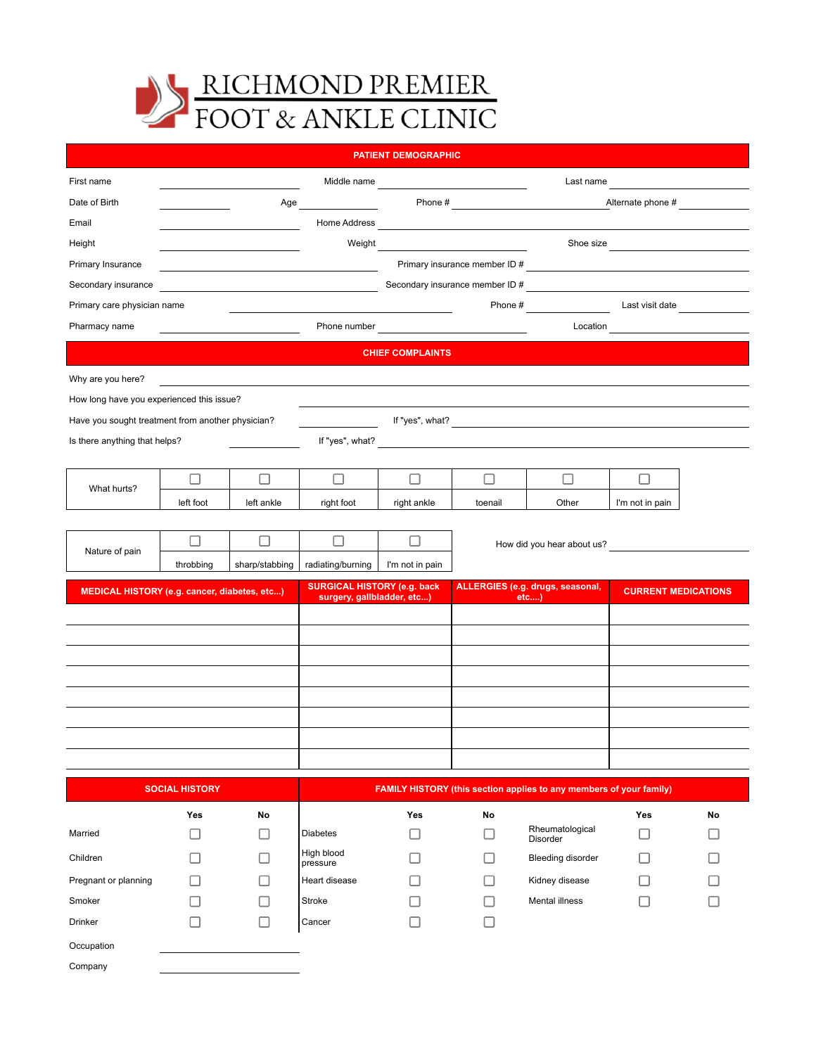

| <b>PATIENT DEMOGRAPHIC</b>                        |                       |                |                                                                                       |                                                                                                                                                                                                                                      |                               |                                                                        |                                  |    |
|---------------------------------------------------|-----------------------|----------------|---------------------------------------------------------------------------------------|--------------------------------------------------------------------------------------------------------------------------------------------------------------------------------------------------------------------------------------|-------------------------------|------------------------------------------------------------------------|----------------------------------|----|
| First name                                        |                       |                |                                                                                       |                                                                                                                                                                                                                                      | Middle name                   | Last name                                                              |                                  |    |
| Date of Birth                                     |                       | Age            |                                                                                       |                                                                                                                                                                                                                                      |                               |                                                                        | Alternate phone #                |    |
| Email                                             |                       |                |                                                                                       |                                                                                                                                                                                                                                      |                               |                                                                        |                                  |    |
| Height                                            |                       |                | Weight                                                                                |                                                                                                                                                                                                                                      |                               |                                                                        | Shoe size                        |    |
| Primary Insurance                                 |                       |                |                                                                                       |                                                                                                                                                                                                                                      | Primary insurance member ID # |                                                                        |                                  |    |
| Secondary insurance                               |                       |                | Secondary insurance member ID #<br><u> 1989 - Johann Barn, amerikansk politiker (</u> |                                                                                                                                                                                                                                      |                               |                                                                        |                                  |    |
| Primary care physician name                       |                       |                |                                                                                       |                                                                                                                                                                                                                                      |                               | Phone # Last visit date                                                |                                  |    |
| Pharmacy name                                     |                       |                |                                                                                       | Phone number <b>contract the contract of the contract of the contract of the contract of the contract of the contract of the contract of the contract of the contract of the contract of the contract of the contract of the con</b> |                               |                                                                        | Location <b>Allenger Control</b> |    |
|                                                   |                       |                |                                                                                       | <b>CHIEF COMPLAINTS</b>                                                                                                                                                                                                              |                               |                                                                        |                                  |    |
| Why are you here?                                 |                       |                |                                                                                       |                                                                                                                                                                                                                                      |                               |                                                                        |                                  |    |
| How long have you experienced this issue?         |                       |                |                                                                                       |                                                                                                                                                                                                                                      |                               |                                                                        |                                  |    |
| Have you sought treatment from another physician? |                       |                |                                                                                       |                                                                                                                                                                                                                                      |                               |                                                                        |                                  |    |
| Is there anything that helps?                     |                       |                |                                                                                       |                                                                                                                                                                                                                                      |                               |                                                                        |                                  |    |
|                                                   |                       |                |                                                                                       |                                                                                                                                                                                                                                      |                               |                                                                        |                                  |    |
| What hurts?                                       | Ш                     | ப              | □                                                                                     | П                                                                                                                                                                                                                                    | □                             | П                                                                      |                                  |    |
|                                                   | left foot             | left ankle     | right foot                                                                            | right ankle                                                                                                                                                                                                                          | toenail                       | Other                                                                  | I'm not in pain                  |    |
|                                                   |                       |                |                                                                                       |                                                                                                                                                                                                                                      |                               |                                                                        |                                  |    |
| Nature of pain                                    | П                     | □              | $\Box$                                                                                | □                                                                                                                                                                                                                                    |                               | How did you hear about us?                                             |                                  |    |
|                                                   | throbbing             | sharp/stabbing | radiating/burning                                                                     | I'm not in pain                                                                                                                                                                                                                      |                               |                                                                        |                                  |    |
| MEDICAL HISTORY (e.g. cancer, diabetes, etc)      |                       |                | <b>SURGICAL HISTORY (e.g. back</b><br>surgery, gallbladder, etc)                      |                                                                                                                                                                                                                                      |                               | ALLERGIES (e.g. drugs, seasonal,<br><b>CURRENT MEDICATIONS</b><br>etc) |                                  |    |
|                                                   |                       |                |                                                                                       |                                                                                                                                                                                                                                      |                               |                                                                        |                                  |    |
|                                                   |                       |                |                                                                                       |                                                                                                                                                                                                                                      |                               |                                                                        |                                  |    |
|                                                   |                       |                |                                                                                       |                                                                                                                                                                                                                                      |                               |                                                                        |                                  |    |
|                                                   |                       |                |                                                                                       |                                                                                                                                                                                                                                      |                               |                                                                        |                                  |    |
|                                                   |                       |                |                                                                                       |                                                                                                                                                                                                                                      |                               |                                                                        |                                  |    |
|                                                   |                       |                |                                                                                       |                                                                                                                                                                                                                                      |                               |                                                                        |                                  |    |
|                                                   |                       |                |                                                                                       |                                                                                                                                                                                                                                      |                               |                                                                        |                                  |    |
|                                                   |                       |                |                                                                                       |                                                                                                                                                                                                                                      |                               |                                                                        |                                  |    |
|                                                   | <b>SOCIAL HISTORY</b> |                |                                                                                       |                                                                                                                                                                                                                                      |                               | FAMILY HISTORY (this section applies to any members of your family)    |                                  |    |
|                                                   | Yes                   | No             |                                                                                       | Yes                                                                                                                                                                                                                                  | No                            |                                                                        | Yes                              | No |
| Married                                           | L.                    | П              | <b>Diabetes</b>                                                                       |                                                                                                                                                                                                                                      | ш                             | Rheumatological<br>Disorder                                            | n.                               |    |
| Children                                          |                       |                | High blood<br>pressure                                                                |                                                                                                                                                                                                                                      | П                             | <b>Bleeding disorder</b>                                               | n.                               |    |

 $\Box$ 

 $\Box$ 

ц Pregnant or planning  $\Box$  Heart disease  $\Box$  Kidney disease  $\hfill \square$  $\hfill \square$ Smoker Stroke Mental illness

 $\Box$ 

 $\Box$ 

| Occupation |
|------------|
| Company    |

Drinker Cancer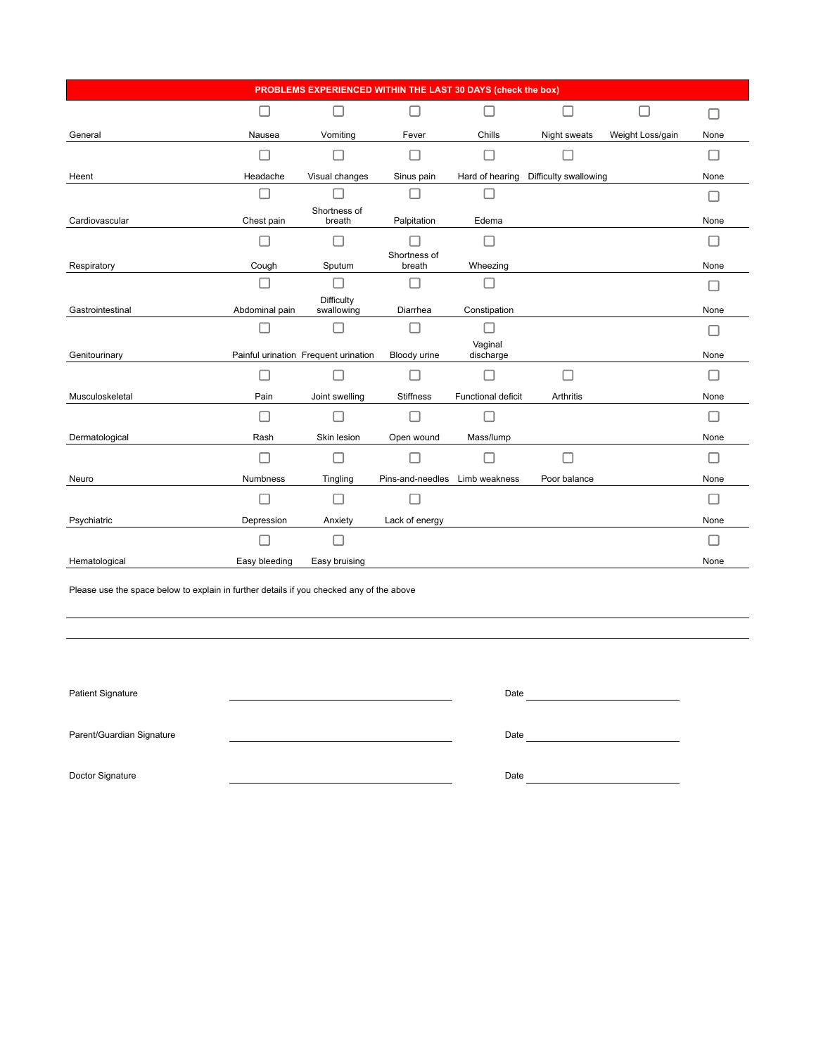| PROBLEMS EXPERIENCED WITHIN THE LAST 30 DAYS (check the box) |                 |                                      |                                |                      |                       |                  |             |
|--------------------------------------------------------------|-----------------|--------------------------------------|--------------------------------|----------------------|-----------------------|------------------|-------------|
|                                                              | $\Box$          | П                                    | - 1                            | П                    | П                     |                  | <b>Tall</b> |
| General                                                      | Nausea          | Vomiting                             | Fever                          | Chills               | Night sweats          | Weight Loss/gain | None        |
|                                                              |                 |                                      |                                | П                    |                       |                  |             |
| Heent                                                        | Headache        | Visual changes                       | Sinus pain                     | Hard of hearing      | Difficulty swallowing |                  | None        |
|                                                              |                 |                                      |                                |                      |                       |                  |             |
| Cardiovascular                                               | Chest pain      | Shortness of<br>breath               | Palpitation                    | Edema                |                       |                  | None        |
|                                                              |                 |                                      |                                | П                    |                       |                  |             |
| Respiratory                                                  | Cough           | Sputum                               | Shortness of<br>breath         | Wheezing             |                       |                  | None        |
|                                                              |                 | $\mathsf{L}$                         |                                |                      |                       |                  |             |
| Gastrointestinal                                             | Abdominal pain  | Difficulty<br>swallowing             | Diarrhea                       | Constipation         |                       |                  | None        |
|                                                              |                 |                                      |                                | П                    |                       |                  |             |
| Genitourinary                                                |                 | Painful urination Frequent urination | Bloody urine                   | Vaginal<br>discharge |                       |                  | None        |
|                                                              |                 |                                      |                                | П                    | □                     |                  |             |
| Musculoskeletal                                              | Pain            | Joint swelling                       | <b>Stiffness</b>               | Functional deficit   | Arthritis             |                  | None        |
|                                                              |                 |                                      |                                |                      |                       |                  |             |
| Dermatological                                               | Rash            | Skin lesion                          | Open wound                     | Mass/lump            |                       |                  | None        |
|                                                              |                 |                                      |                                |                      |                       |                  |             |
| Neuro                                                        | <b>Numbness</b> | Tingling                             | Pins-and-needles Limb weakness |                      | Poor balance          |                  | None        |
|                                                              |                 |                                      |                                |                      |                       |                  |             |
| Psychiatric                                                  | Depression      | Anxiety                              | Lack of energy                 |                      |                       |                  | None        |
|                                                              |                 |                                      |                                |                      |                       |                  |             |
| Hematological                                                | Easy bleeding   | Easy bruising                        |                                |                      |                       |                  | None        |

Please use the space below to explain in further details if you checked any of the above

| <b>Patient Signature</b>  | Date |  |
|---------------------------|------|--|
| Parent/Guardian Signature | Date |  |
| Doctor Signature          | Date |  |